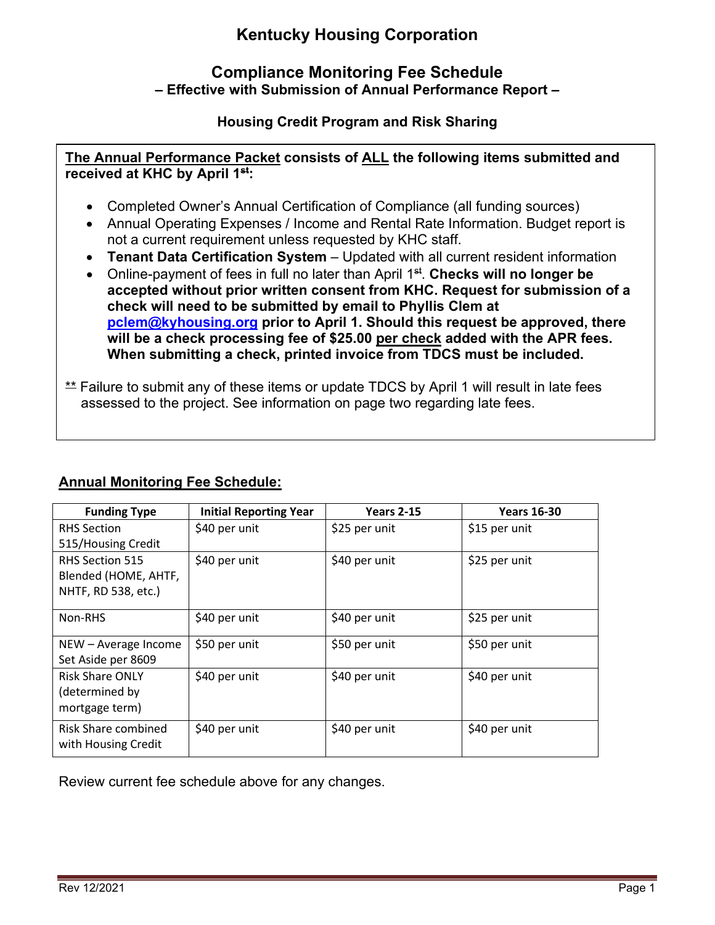# **Kentucky Housing Corporation**

## **Compliance Monitoring Fee Schedule – Effective with Submission of Annual Performance Report –**

### **Housing Credit Program and Risk Sharing**

**The Annual Performance Packet consists of ALL the following items submitted and received at KHC by April 1st:**

- Completed Owner's Annual Certification of Compliance (all funding sources)
- Annual Operating Expenses / Income and Rental Rate Information. Budget report is not a current requirement unless requested by KHC staff.
- **Tenant Data Certification System** Updated with all current resident information
- Online-payment of fees in full no later than April 1<sup>st</sup>. **Checks will no longer be accepted without prior written consent from KHC. Request for submission of a check will need to be submitted by email to Phyllis Clem at [pclem@kyhousing.org](mailto:pclem@kyhousing.org) prior to April 1. Should this request be approved, there will be a check processing fee of \$25.00 per check added with the APR fees. When submitting a check, printed invoice from TDCS must be included.**
- \*\* Failure to submit any of these items or update TDCS by April 1 will result in late fees assessed to the project. See information on page two regarding late fees.

# **Annual Monitoring Fee Schedule:**

| <b>Funding Type</b>    | <b>Initial Reporting Year</b> | <b>Years 2-15</b> | <b>Years 16-30</b> |
|------------------------|-------------------------------|-------------------|--------------------|
| <b>RHS Section</b>     | \$40 per unit                 | \$25 per unit     | \$15 per unit      |
| 515/Housing Credit     |                               |                   |                    |
| <b>RHS Section 515</b> | \$40 per unit                 | \$40 per unit     | \$25 per unit      |
| Blended (HOME, AHTF,   |                               |                   |                    |
| NHTF, RD 538, etc.)    |                               |                   |                    |
| Non-RHS                | \$40 per unit                 | \$40 per unit     | \$25 per unit      |
| NEW - Average Income   | \$50 per unit                 | \$50 per unit     | \$50 per unit      |
| Set Aside per 8609     |                               |                   |                    |
| <b>Risk Share ONLY</b> | \$40 per unit                 | \$40 per unit     | \$40 per unit      |
| (determined by         |                               |                   |                    |
| mortgage term)         |                               |                   |                    |
| Risk Share combined    | \$40 per unit                 | \$40 per unit     | \$40 per unit      |
| with Housing Credit    |                               |                   |                    |

Review current fee schedule above for any changes.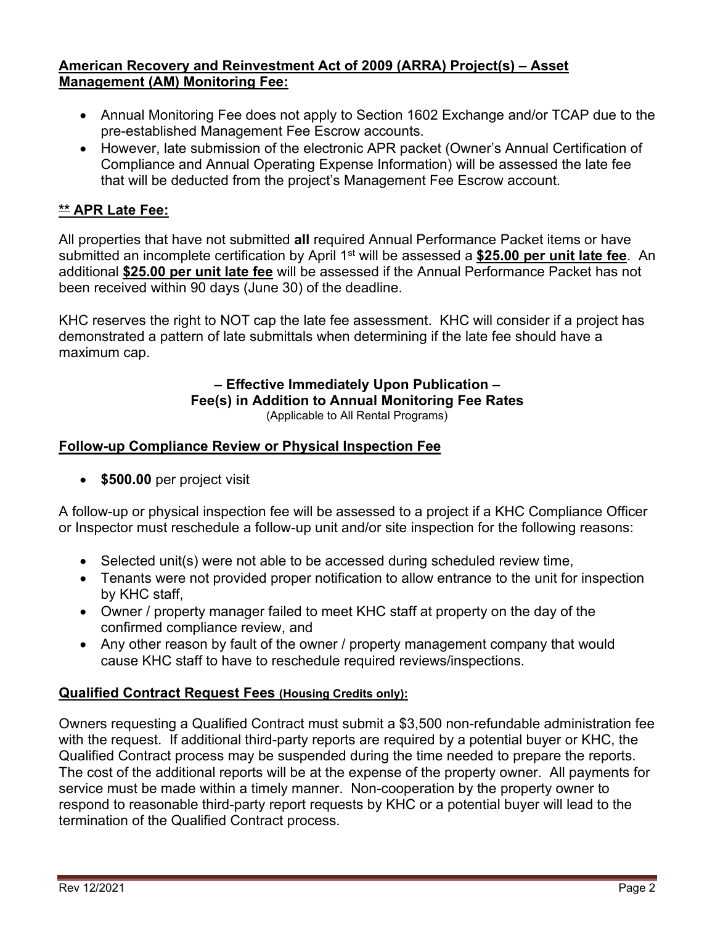#### **American Recovery and Reinvestment Act of 2009 (ARRA) Project(s) – Asset Management (AM) Monitoring Fee:**

- Annual Monitoring Fee does not apply to Section 1602 Exchange and/or TCAP due to the pre-established Management Fee Escrow accounts.
- However, late submission of the electronic APR packet (Owner's Annual Certification of Compliance and Annual Operating Expense Information) will be assessed the late fee that will be deducted from the project's Management Fee Escrow account.

### **\*\* APR Late Fee:**

All properties that have not submitted **all** required Annual Performance Packet items or have submitted an incomplete certification by April 1<sup>st</sup> will be assessed a \$25.00 per unit late fee. An additional **\$25.00 per unit late fee** will be assessed if the Annual Performance Packet has not been received within 90 days (June 30) of the deadline.

KHC reserves the right to NOT cap the late fee assessment. KHC will consider if a project has demonstrated a pattern of late submittals when determining if the late fee should have a maximum cap.

#### **– Effective Immediately Upon Publication – Fee(s) in Addition to Annual Monitoring Fee Rates**

(Applicable to All Rental Programs)

### **Follow-up Compliance Review or Physical Inspection Fee**

• **\$500.00** per project visit

A follow-up or physical inspection fee will be assessed to a project if a KHC Compliance Officer or Inspector must reschedule a follow-up unit and/or site inspection for the following reasons:

- Selected unit(s) were not able to be accessed during scheduled review time,
- Tenants were not provided proper notification to allow entrance to the unit for inspection by KHC staff,
- Owner / property manager failed to meet KHC staff at property on the day of the confirmed compliance review, and
- Any other reason by fault of the owner / property management company that would cause KHC staff to have to reschedule required reviews/inspections.

### **Qualified Contract Request Fees (Housing Credits only):**

Owners requesting a Qualified Contract must submit a \$3,500 non-refundable administration fee with the request. If additional third-party reports are required by a potential buyer or KHC, the Qualified Contract process may be suspended during the time needed to prepare the reports. The cost of the additional reports will be at the expense of the property owner. All payments for service must be made within a timely manner. Non-cooperation by the property owner to respond to reasonable third-party report requests by KHC or a potential buyer will lead to the termination of the Qualified Contract process.